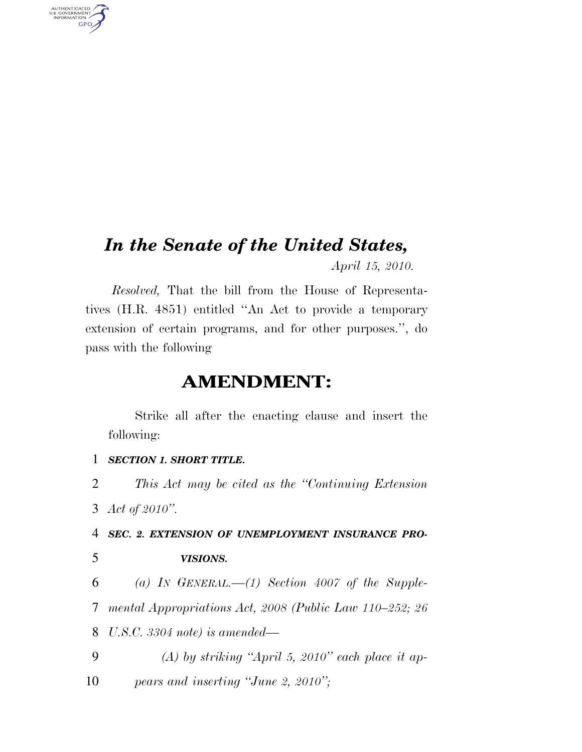# *In the Senate of the United States,*

*April 15, 2010.* 

*Resolved,* That the bill from the House of Representatives (H.R. 4851) entitled ''An Act to provide a temporary extension of certain programs, and for other purposes.'', do pass with the following

## **AMENDMENT:**

Strike all after the enacting clause and insert the following:

1 *SECTION 1. SHORT TITLE.* 

2 *This Act may be cited as the ''Continuing Extension*  3 *Act of 2010''.* 

4 *SEC. 2. EXTENSION OF UNEMPLOYMENT INSURANCE PRO-*

AUTHENTICATED<br>U.S. GOVERNMENT<br>INFORMATION GPO

### 5 *VISIONS.*

6 *(a) IN GENERAL.—(1) Section 4007 of the Supple-*7 *mental Appropriations Act, 2008 (Public Law 110–252; 26*  8 *U.S.C. 3304 note) is amended—* 

9 *(A) by striking ''April 5, 2010'' each place it ap-*10 *pears and inserting ''June 2, 2010'';*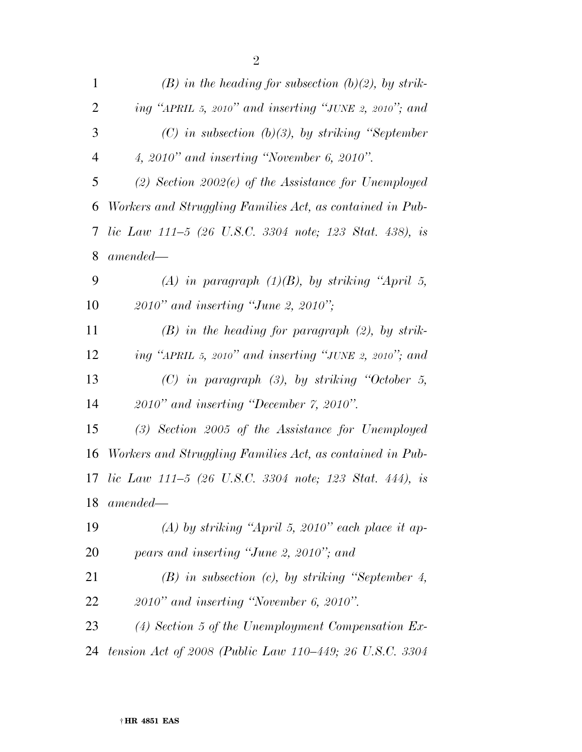| $\mathbf{1}$   | $(B)$ in the heading for subsection $(b)(2)$ , by strik-  |
|----------------|-----------------------------------------------------------|
| $\overline{2}$ | ing "APRIL 5, 2010" and inserting "JUNE 2, 2010"; and     |
| 3              | $(C)$ in subsection $(b)(3)$ , by striking "September"    |
| 4              | $4, 2010"$ and inserting "November 6, 2010".              |
| 5              | $(2)$ Section 2002 $(e)$ of the Assistance for Unemployed |
| 6              | Workers and Struggling Families Act, as contained in Pub- |
| 7              | lic Law 111–5 (26 U.S.C. 3304 note; 123 Stat. 438), is    |
| 8              | $amended-$                                                |
| 9              | (A) in paragraph $(1)(B)$ , by striking "April 5,         |
| 10             | $2010"$ and inserting "June 2, 2010";                     |
| 11             | $(B)$ in the heading for paragraph $(2)$ , by strik-      |
| 12             | ing "APRIL 5, 2010" and inserting "JUNE 2, 2010"; and     |
| 13             | $(C)$ in paragraph $(3)$ , by striking "October 5,        |
| 14             | $2010"$ and inserting "December 7, 2010".                 |
| 15             | $(3)$ Section 2005 of the Assistance for Unemployed       |
| 16             | Workers and Struggling Families Act, as contained in Pub- |
| 17             | lic Law $111-5$ (26 U.S.C. 3304 note; 123 Stat. 444), is  |
|                | 18 amended—                                               |
| 19             | (A) by striking "April 5, 2010" each place it ap-         |
| 20             | pears and inserting "June 2, 2010"; and                   |
| 21             | $(B)$ in subsection $(c)$ , by striking "September 4,     |
| 22             | $2010"$ and inserting "November 6, 2010".                 |
| 23             | $(4)$ Section 5 of the Unemployment Compensation Ex-      |
| 24             | tension Act of 2008 (Public Law 110–449; 26 U.S.C. 3304   |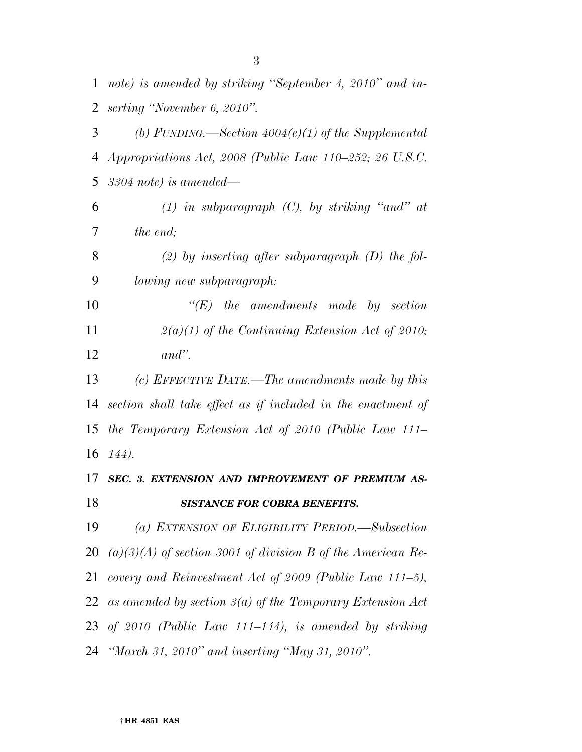| $\mathbf{1}$ | note) is amended by striking "September 4, 2010" and in-      |
|--------------|---------------------------------------------------------------|
| 2            | serting "November 6, 2010".                                   |
| 3            | (b) FUNDING.—Section $4004(e)(1)$ of the Supplemental         |
| 4            | Appropriations Act, 2008 (Public Law 110–252; 26 U.S.C.       |
| 5            | $3304$ note) is amended—                                      |
| 6            | $(1)$ in subparagraph $(C)$ , by striking "and" at            |
| 7            | the end;                                                      |
| 8            | (2) by inserting after subparagraph $(D)$ the fol-            |
| 9            | lowing new subparagraph:                                      |
| 10           | $\lq\lq(E)$ the amendments made by section                    |
| 11           | $2(a)(1)$ of the Continuing Extension Act of 2010;            |
| 12           | $and$ ".                                                      |
| 13           | (c) EFFECTIVE DATE.—The amendments made by this               |
| 14           | section shall take effect as if included in the enactment of  |
| 15           | the Temporary Extension Act of 2010 (Public Law 111–          |
| 16           | 144).                                                         |
| 17           | SEC. 3. EXTENSION AND IMPROVEMENT OF PREMIUM AS-              |
| 18           | <b>SISTANCE FOR COBRA BENEFITS.</b>                           |
| 19           | (a) EXTENSION OF ELIGIBILITY PERIOD.—Subsection               |
| 20           | $(a)(3)(A)$ of section 3001 of division B of the American Re- |
| 21           | covery and Reinvestment Act of 2009 (Public Law 111–5),       |
| 22           | as amended by section $3(a)$ of the Temporary Extension Act   |
|              | 23 of 2010 (Public Law 111–144), is amended by striking       |
|              |                                                               |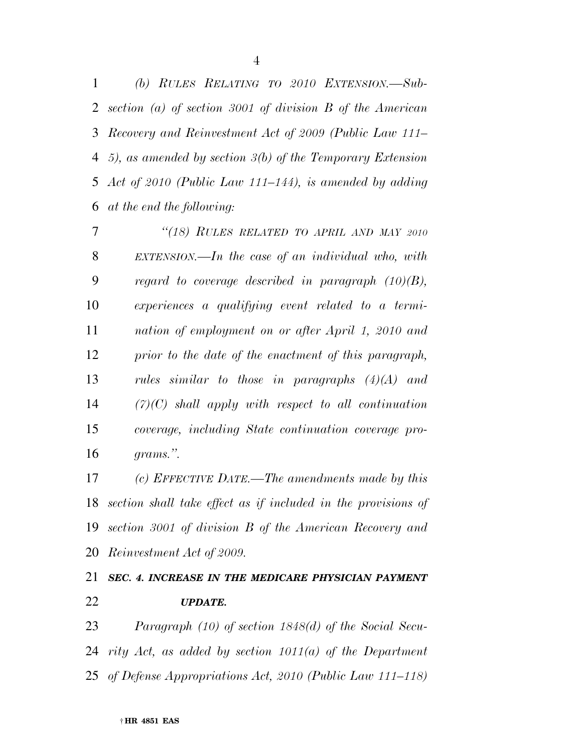*(b) RULES RELATING TO 2010 EXTENSION.—Sub- section (a) of section 3001 of division B of the American Recovery and Reinvestment Act of 2009 (Public Law 111– 5), as amended by section 3(b) of the Temporary Extension Act of 2010 (Public Law 111–144), is amended by adding at the end the following:* 

 *''(18) RULES RELATED TO APRIL AND MAY 2010 EXTENSION.—In the case of an individual who, with regard to coverage described in paragraph (10)(B), experiences a qualifying event related to a termi- nation of employment on or after April 1, 2010 and prior to the date of the enactment of this paragraph, rules similar to those in paragraphs (4)(A) and (7)(C) shall apply with respect to all continuation coverage, including State continuation coverage pro-grams.''.* 

 *(c) EFFECTIVE DATE.—The amendments made by this section shall take effect as if included in the provisions of section 3001 of division B of the American Recovery and Reinvestment Act of 2009.* 

## *SEC. 4. INCREASE IN THE MEDICARE PHYSICIAN PAYMENT UPDATE.*

 *Paragraph (10) of section 1848(d) of the Social Secu- rity Act, as added by section 1011(a) of the Department of Defense Appropriations Act, 2010 (Public Law 111–118)*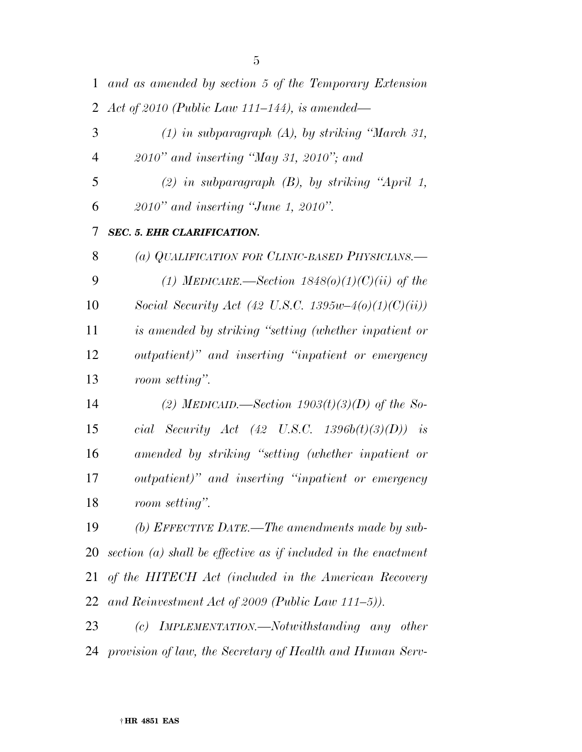| $\mathbf{1}$   | and as amended by section 5 of the Temporary Extension           |
|----------------|------------------------------------------------------------------|
| $\overline{2}$ | Act of 2010 (Public Law 111–144), is amended—                    |
| 3              | $(1)$ in subparagraph $(A)$ , by striking "March 31,             |
| 4              | $2010"$ and inserting "May 31, 2010"; and                        |
| 5              | $(2)$ in subparagraph $(B)$ , by striking "April 1,              |
| 6              | $2010"$ and inserting "June 1, 2010".                            |
| 7              | <b>SEC. 5. EHR CLARIFICATION.</b>                                |
| 8              | (a) QUALIFICATION FOR CLINIC-BASED PHYSICIANS.—                  |
| 9              | (1) MEDICARE.—Section $1848(0)(1)(C)(ii)$ of the                 |
| 10             | Social Security Act (42 U.S.C. 1395w-4(o)(1)(C)(ii))             |
| 11             | is amended by striking "setting (whether inpatient or            |
| 12             | outpatient)" and inserting "inpatient or emergency               |
| 13             | room setting".                                                   |
| 14             | (2) MEDICAID.—Section $1903(t)(3)(D)$ of the So-                 |
| 15             | cial Security Act (42 U.S.C. 1396b(t)(3)(D)) is                  |
| 16             | amended by striking "setting (whether inpatient or               |
| 17             | outpatient)" and inserting "inpatient or emergency               |
| 18             | room setting".                                                   |
| 19             | (b) EFFECTIVE DATE.—The amendments made by sub-                  |
| 20             | section $(a)$ shall be effective as if included in the enactment |
| 21             | of the HITECH Act (included in the American Recovery             |
| 22             | and Reinvestment Act of 2009 (Public Law 111–5)).                |
| 23             | IMPLEMENTATION.—Notwithstanding any other<br>(c)                 |

*provision of law, the Secretary of Health and Human Serv-*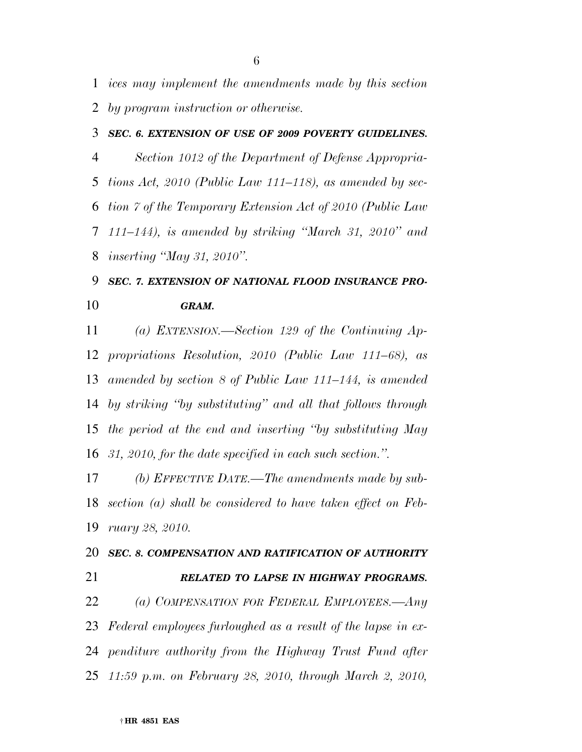*ices may implement the amendments made by this section by program instruction or otherwise.* 

#### *SEC. 6. EXTENSION OF USE OF 2009 POVERTY GUIDELINES.*

 *Section 1012 of the Department of Defense Appropria- tions Act, 2010 (Public Law 111–118), as amended by sec- tion 7 of the Temporary Extension Act of 2010 (Public Law 111–144), is amended by striking ''March 31, 2010'' and inserting ''May 31, 2010''.* 

# *SEC. 7. EXTENSION OF NATIONAL FLOOD INSURANCE PRO-GRAM.*

 *(a) EXTENSION.—Section 129 of the Continuing Ap- propriations Resolution, 2010 (Public Law 111–68), as amended by section 8 of Public Law 111–144, is amended by striking ''by substituting'' and all that follows through the period at the end and inserting ''by substituting May 31, 2010, for the date specified in each such section.''.* 

 *(b) EFFECTIVE DATE.—The amendments made by sub- section (a) shall be considered to have taken effect on Feb-ruary 28, 2010.* 

# *SEC. 8. COMPENSATION AND RATIFICATION OF AUTHORITY RELATED TO LAPSE IN HIGHWAY PROGRAMS.*

 *(a) COMPENSATION FOR FEDERAL EMPLOYEES.—Any Federal employees furloughed as a result of the lapse in ex- penditure authority from the Highway Trust Fund after 11:59 p.m. on February 28, 2010, through March 2, 2010,*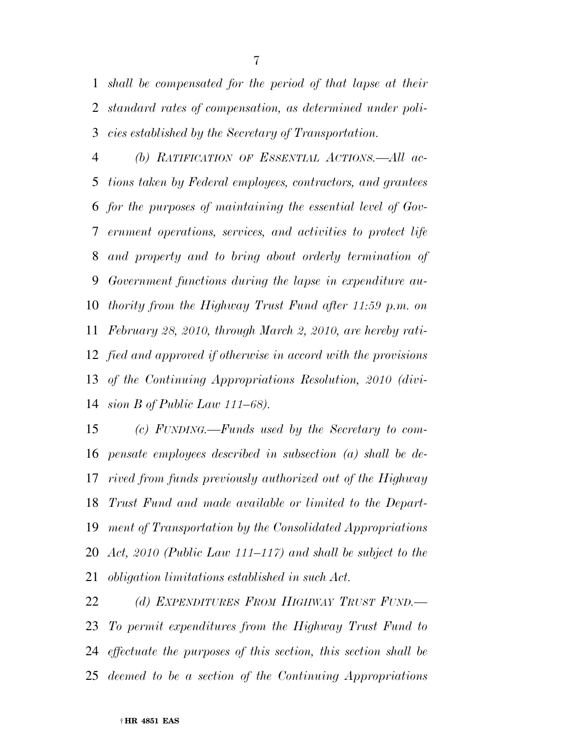*shall be compensated for the period of that lapse at their standard rates of compensation, as determined under poli-cies established by the Secretary of Transportation.* 

 *(b) RATIFICATION OF ESSENTIAL ACTIONS.—All ac- tions taken by Federal employees, contractors, and grantees for the purposes of maintaining the essential level of Gov- ernment operations, services, and activities to protect life and property and to bring about orderly termination of Government functions during the lapse in expenditure au- thority from the Highway Trust Fund after 11:59 p.m. on February 28, 2010, through March 2, 2010, are hereby rati- fied and approved if otherwise in accord with the provisions of the Continuing Appropriations Resolution, 2010 (divi-sion B of Public Law 111–68).* 

 *(c) FUNDING.—Funds used by the Secretary to com- pensate employees described in subsection (a) shall be de- rived from funds previously authorized out of the Highway Trust Fund and made available or limited to the Depart- ment of Transportation by the Consolidated Appropriations Act, 2010 (Public Law 111–117) and shall be subject to the obligation limitations established in such Act.* 

 *(d) EXPENDITURES FROM HIGHWAY TRUST FUND.— To permit expenditures from the Highway Trust Fund to effectuate the purposes of this section, this section shall be deemed to be a section of the Continuing Appropriations*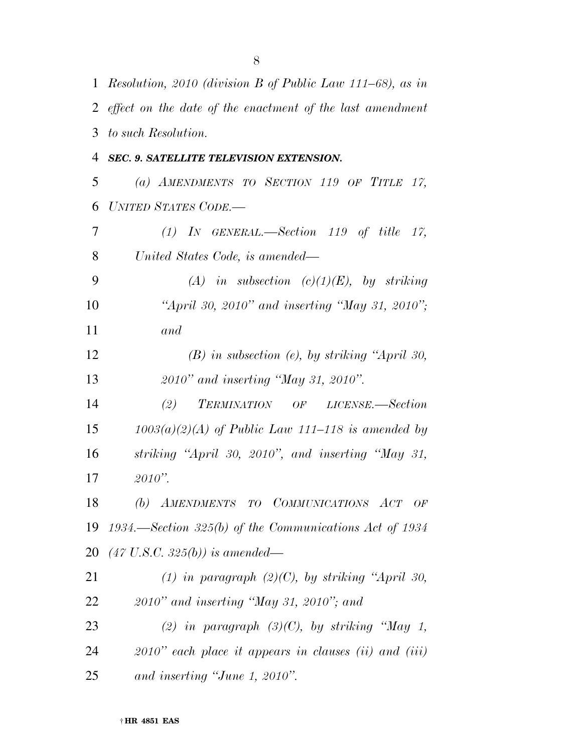|                | 1 Resolution, 2010 (division B of Public Law 111–68), as in |
|----------------|-------------------------------------------------------------|
|                | 2 effect on the date of the enactment of the last amendment |
| 3              | to such Resolution.                                         |
| 4              | SEC. 9. SATELLITE TELEVISION EXTENSION.                     |
| 5              | (a) AMENDMENTS TO SECTION 119 OF TITLE 17,                  |
| 6              | <b>UNITED STATES CODE.</b>                                  |
| $\overline{7}$ | $(1)$ IN GENERAL.—Section 119 of title 17,                  |
| 8              | United States Code, is amended—                             |
| 9              | (A) in subsection $(c)(1)(E)$ , by striking                 |
| 10             | "April 30, 2010" and inserting "May 31, 2010";              |
| 11             | and                                                         |
| 12             | $(B)$ in subsection (e), by striking "April 30,             |
| 13             | 2010" and inserting "May 31, 2010".                         |
| 14             | (2)<br>TERMINATION OF LICENSE.—Section                      |
| 15             | $1003(a)(2)(A)$ of Public Law 111–118 is amended by         |
| 16             | striking "April 30, 2010", and inserting "May 31,           |
| 17             | $2010"$ .                                                   |
| 18             | (b) AMENDMENTS TO COMMUNICATIONS ACT OF                     |
| 19             | 1934.—Section 325(b) of the Communications Act of 1934      |
| 20             | $(47 \text{ U.S.C. } 325(b))$ is amended—                   |
| 21             | (1) in paragraph $(2)(C)$ , by striking "April 30,          |
| 22             | $2010"$ and inserting "May 31, 2010"; and                   |
| 23             | (2) in paragraph $(3)(C)$ , by striking "May 1,             |
| 24             | $2010$ " each place it appears in clauses (ii) and (iii)    |
| 25             | and inserting "June 1, 2010".                               |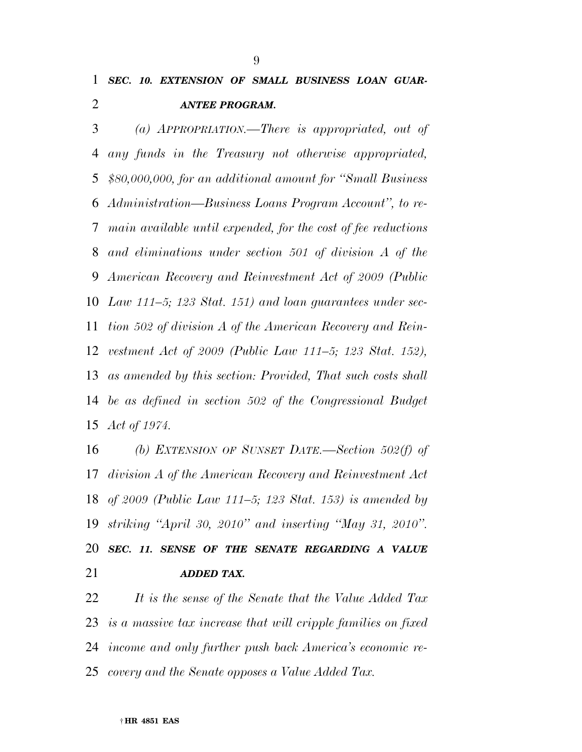## *SEC. 10. EXTENSION OF SMALL BUSINESS LOAN GUAR-ANTEE PROGRAM.*

 *(a) APPROPRIATION.—There is appropriated, out of any funds in the Treasury not otherwise appropriated, \$80,000,000, for an additional amount for ''Small Business Administration—Business Loans Program Account'', to re- main available until expended, for the cost of fee reductions and eliminations under section 501 of division A of the American Recovery and Reinvestment Act of 2009 (Public Law 111–5; 123 Stat. 151) and loan guarantees under sec- tion 502 of division A of the American Recovery and Rein- vestment Act of 2009 (Public Law 111–5; 123 Stat. 152), as amended by this section: Provided, That such costs shall be as defined in section 502 of the Congressional Budget Act of 1974.* 

 *(b) EXTENSION OF SUNSET DATE.—Section 502(f) of division A of the American Recovery and Reinvestment Act of 2009 (Public Law 111–5; 123 Stat. 153) is amended by striking ''April 30, 2010'' and inserting ''May 31, 2010''. SEC. 11. SENSE OF THE SENATE REGARDING A VALUE ADDED TAX.* 

 *It is the sense of the Senate that the Value Added Tax is a massive tax increase that will cripple families on fixed income and only further push back America's economic re-covery and the Senate opposes a Value Added Tax.*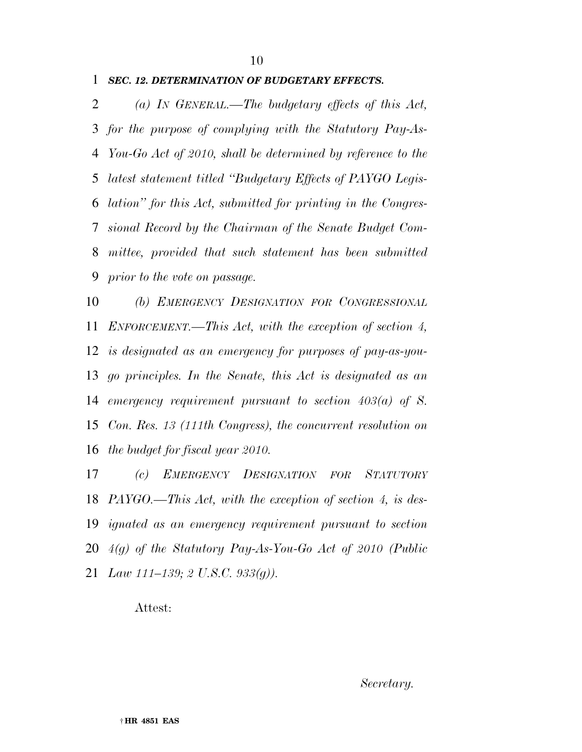#### *SEC. 12. DETERMINATION OF BUDGETARY EFFECTS.*

 *(a) IN GENERAL.—The budgetary effects of this Act, for the purpose of complying with the Statutory Pay-As- You-Go Act of 2010, shall be determined by reference to the latest statement titled ''Budgetary Effects of PAYGO Legis- lation'' for this Act, submitted for printing in the Congres- sional Record by the Chairman of the Senate Budget Com- mittee, provided that such statement has been submitted prior to the vote on passage.* 

 *(b) EMERGENCY DESIGNATION FOR CONGRESSIONAL ENFORCEMENT.—This Act, with the exception of section 4, is designated as an emergency for purposes of pay-as-you- go principles. In the Senate, this Act is designated as an emergency requirement pursuant to section 403(a) of S. Con. Res. 13 (111th Congress), the concurrent resolution on the budget for fiscal year 2010.* 

 *(c) EMERGENCY DESIGNATION FOR STATUTORY PAYGO.—This Act, with the exception of section 4, is des- ignated as an emergency requirement pursuant to section 4(g) of the Statutory Pay-As-You-Go Act of 2010 (Public Law 111–139; 2 U.S.C. 933(g)).* 

#### Attest: